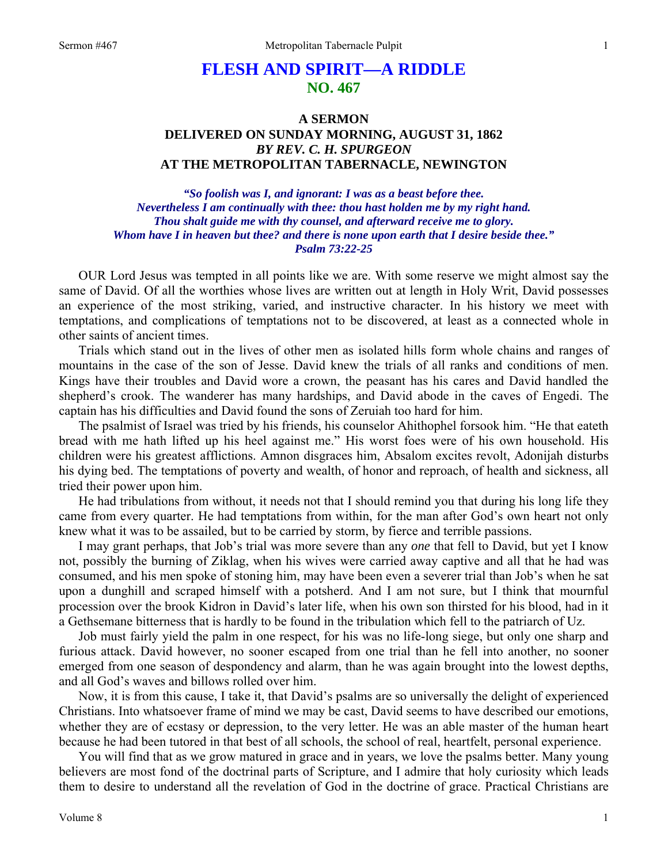# **FLESH AND SPIRIT—A RIDDLE NO. 467**

## **A SERMON DELIVERED ON SUNDAY MORNING, AUGUST 31, 1862**  *BY REV. C. H. SPURGEON*  **AT THE METROPOLITAN TABERNACLE, NEWINGTON**

*"So foolish was I, and ignorant: I was as a beast before thee. Nevertheless I am continually with thee: thou hast holden me by my right hand. Thou shalt guide me with thy counsel, and afterward receive me to glory. Whom have I in heaven but thee? and there is none upon earth that I desire beside thee." Psalm 73:22-25* 

OUR Lord Jesus was tempted in all points like we are. With some reserve we might almost say the same of David. Of all the worthies whose lives are written out at length in Holy Writ, David possesses an experience of the most striking, varied, and instructive character. In his history we meet with temptations, and complications of temptations not to be discovered, at least as a connected whole in other saints of ancient times.

Trials which stand out in the lives of other men as isolated hills form whole chains and ranges of mountains in the case of the son of Jesse. David knew the trials of all ranks and conditions of men. Kings have their troubles and David wore a crown, the peasant has his cares and David handled the shepherd's crook. The wanderer has many hardships, and David abode in the caves of Engedi. The captain has his difficulties and David found the sons of Zeruiah too hard for him.

The psalmist of Israel was tried by his friends, his counselor Ahithophel forsook him. "He that eateth bread with me hath lifted up his heel against me." His worst foes were of his own household. His children were his greatest afflictions. Amnon disgraces him, Absalom excites revolt, Adonijah disturbs his dying bed. The temptations of poverty and wealth, of honor and reproach, of health and sickness, all tried their power upon him.

He had tribulations from without, it needs not that I should remind you that during his long life they came from every quarter. He had temptations from within, for the man after God's own heart not only knew what it was to be assailed, but to be carried by storm, by fierce and terrible passions.

I may grant perhaps, that Job's trial was more severe than any *one* that fell to David, but yet I know not, possibly the burning of Ziklag, when his wives were carried away captive and all that he had was consumed, and his men spoke of stoning him, may have been even a severer trial than Job's when he sat upon a dunghill and scraped himself with a potsherd. And I am not sure, but I think that mournful procession over the brook Kidron in David's later life, when his own son thirsted for his blood, had in it a Gethsemane bitterness that is hardly to be found in the tribulation which fell to the patriarch of Uz.

Job must fairly yield the palm in one respect, for his was no life-long siege, but only one sharp and furious attack. David however, no sooner escaped from one trial than he fell into another, no sooner emerged from one season of despondency and alarm, than he was again brought into the lowest depths, and all God's waves and billows rolled over him.

Now, it is from this cause, I take it, that David's psalms are so universally the delight of experienced Christians. Into whatsoever frame of mind we may be cast, David seems to have described our emotions, whether they are of ecstasy or depression, to the very letter. He was an able master of the human heart because he had been tutored in that best of all schools, the school of real, heartfelt, personal experience.

You will find that as we grow matured in grace and in years, we love the psalms better. Many young believers are most fond of the doctrinal parts of Scripture, and I admire that holy curiosity which leads them to desire to understand all the revelation of God in the doctrine of grace. Practical Christians are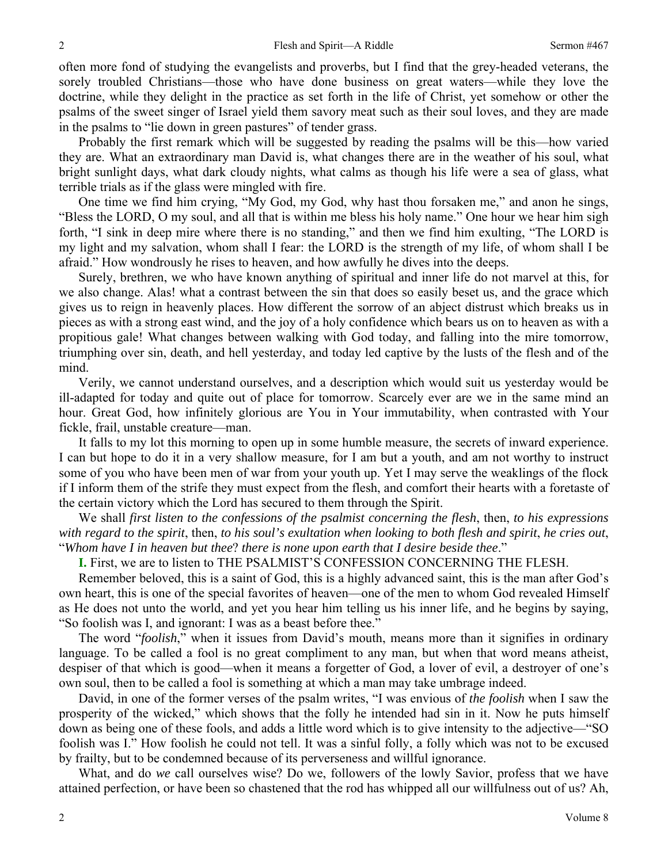often more fond of studying the evangelists and proverbs, but I find that the grey-headed veterans, the sorely troubled Christians—those who have done business on great waters—while they love the doctrine, while they delight in the practice as set forth in the life of Christ, yet somehow or other the psalms of the sweet singer of Israel yield them savory meat such as their soul loves, and they are made in the psalms to "lie down in green pastures" of tender grass.

Probably the first remark which will be suggested by reading the psalms will be this—how varied they are. What an extraordinary man David is, what changes there are in the weather of his soul, what bright sunlight days, what dark cloudy nights, what calms as though his life were a sea of glass, what terrible trials as if the glass were mingled with fire.

One time we find him crying, "My God, my God, why hast thou forsaken me," and anon he sings, "Bless the LORD, O my soul, and all that is within me bless his holy name." One hour we hear him sigh forth, "I sink in deep mire where there is no standing," and then we find him exulting, "The LORD is my light and my salvation, whom shall I fear: the LORD is the strength of my life, of whom shall I be afraid." How wondrously he rises to heaven, and how awfully he dives into the deeps.

Surely, brethren, we who have known anything of spiritual and inner life do not marvel at this, for we also change. Alas! what a contrast between the sin that does so easily beset us, and the grace which gives us to reign in heavenly places. How different the sorrow of an abject distrust which breaks us in pieces as with a strong east wind, and the joy of a holy confidence which bears us on to heaven as with a propitious gale! What changes between walking with God today, and falling into the mire tomorrow, triumphing over sin, death, and hell yesterday, and today led captive by the lusts of the flesh and of the mind.

Verily, we cannot understand ourselves, and a description which would suit us yesterday would be ill-adapted for today and quite out of place for tomorrow. Scarcely ever are we in the same mind an hour. Great God, how infinitely glorious are You in Your immutability, when contrasted with Your fickle, frail, unstable creature—man.

It falls to my lot this morning to open up in some humble measure, the secrets of inward experience. I can but hope to do it in a very shallow measure, for I am but a youth, and am not worthy to instruct some of you who have been men of war from your youth up. Yet I may serve the weaklings of the flock if I inform them of the strife they must expect from the flesh, and comfort their hearts with a foretaste of the certain victory which the Lord has secured to them through the Spirit.

We shall *first listen to the confessions of the psalmist concerning the flesh*, then, *to his expressions with regard to the spirit*, then, *to his soul's exultation when looking to both flesh and spirit*, *he cries out*, "*Whom have I in heaven but thee*? *there is none upon earth that I desire beside thee*."

**I.** First, we are to listen to THE PSALMIST'S CONFESSION CONCERNING THE FLESH.

Remember beloved, this is a saint of God, this is a highly advanced saint, this is the man after God's own heart, this is one of the special favorites of heaven—one of the men to whom God revealed Himself as He does not unto the world, and yet you hear him telling us his inner life, and he begins by saying, "So foolish was I, and ignorant: I was as a beast before thee."

The word "*foolish*," when it issues from David's mouth, means more than it signifies in ordinary language. To be called a fool is no great compliment to any man, but when that word means atheist, despiser of that which is good—when it means a forgetter of God, a lover of evil, a destroyer of one's own soul, then to be called a fool is something at which a man may take umbrage indeed.

David, in one of the former verses of the psalm writes, "I was envious of *the foolish* when I saw the prosperity of the wicked," which shows that the folly he intended had sin in it. Now he puts himself down as being one of these fools, and adds a little word which is to give intensity to the adjective—"SO foolish was I." How foolish he could not tell. It was a sinful folly, a folly which was not to be excused by frailty, but to be condemned because of its perverseness and willful ignorance.

What, and do *we* call ourselves wise? Do we, followers of the lowly Savior, profess that we have attained perfection, or have been so chastened that the rod has whipped all our willfulness out of us? Ah,

2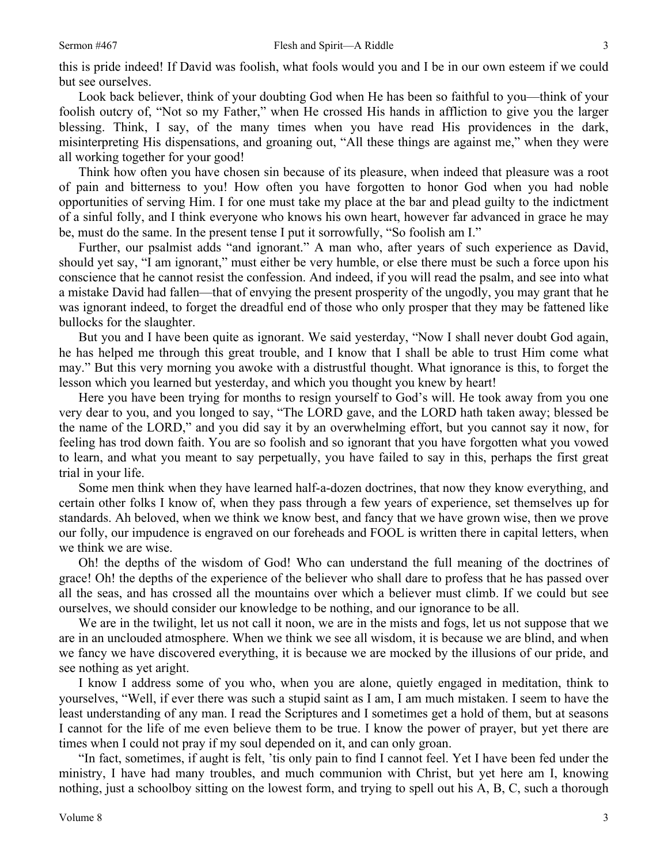this is pride indeed! If David was foolish, what fools would you and I be in our own esteem if we could but see ourselves.

Look back believer, think of your doubting God when He has been so faithful to you—think of your foolish outcry of, "Not so my Father," when He crossed His hands in affliction to give you the larger blessing. Think, I say, of the many times when you have read His providences in the dark, misinterpreting His dispensations, and groaning out, "All these things are against me," when they were all working together for your good!

Think how often you have chosen sin because of its pleasure, when indeed that pleasure was a root of pain and bitterness to you! How often you have forgotten to honor God when you had noble opportunities of serving Him. I for one must take my place at the bar and plead guilty to the indictment of a sinful folly, and I think everyone who knows his own heart, however far advanced in grace he may be, must do the same. In the present tense I put it sorrowfully, "So foolish am I."

Further, our psalmist adds "and ignorant." A man who, after years of such experience as David, should yet say, "I am ignorant," must either be very humble, or else there must be such a force upon his conscience that he cannot resist the confession. And indeed, if you will read the psalm, and see into what a mistake David had fallen—that of envying the present prosperity of the ungodly, you may grant that he was ignorant indeed, to forget the dreadful end of those who only prosper that they may be fattened like bullocks for the slaughter.

But you and I have been quite as ignorant. We said yesterday, "Now I shall never doubt God again, he has helped me through this great trouble, and I know that I shall be able to trust Him come what may." But this very morning you awoke with a distrustful thought. What ignorance is this, to forget the lesson which you learned but yesterday, and which you thought you knew by heart!

Here you have been trying for months to resign yourself to God's will. He took away from you one very dear to you, and you longed to say, "The LORD gave, and the LORD hath taken away; blessed be the name of the LORD," and you did say it by an overwhelming effort, but you cannot say it now, for feeling has trod down faith. You are so foolish and so ignorant that you have forgotten what you vowed to learn, and what you meant to say perpetually, you have failed to say in this, perhaps the first great trial in your life.

Some men think when they have learned half-a-dozen doctrines, that now they know everything, and certain other folks I know of, when they pass through a few years of experience, set themselves up for standards. Ah beloved, when we think we know best, and fancy that we have grown wise, then we prove our folly, our impudence is engraved on our foreheads and FOOL is written there in capital letters, when we think we are wise.

Oh! the depths of the wisdom of God! Who can understand the full meaning of the doctrines of grace! Oh! the depths of the experience of the believer who shall dare to profess that he has passed over all the seas, and has crossed all the mountains over which a believer must climb. If we could but see ourselves, we should consider our knowledge to be nothing, and our ignorance to be all.

We are in the twilight, let us not call it noon, we are in the mists and fogs, let us not suppose that we are in an unclouded atmosphere. When we think we see all wisdom, it is because we are blind, and when we fancy we have discovered everything, it is because we are mocked by the illusions of our pride, and see nothing as yet aright.

I know I address some of you who, when you are alone, quietly engaged in meditation, think to yourselves, "Well, if ever there was such a stupid saint as I am, I am much mistaken. I seem to have the least understanding of any man. I read the Scriptures and I sometimes get a hold of them, but at seasons I cannot for the life of me even believe them to be true. I know the power of prayer, but yet there are times when I could not pray if my soul depended on it, and can only groan.

"In fact, sometimes, if aught is felt, 'tis only pain to find I cannot feel. Yet I have been fed under the ministry, I have had many troubles, and much communion with Christ, but yet here am I, knowing nothing, just a schoolboy sitting on the lowest form, and trying to spell out his A, B, C, such a thorough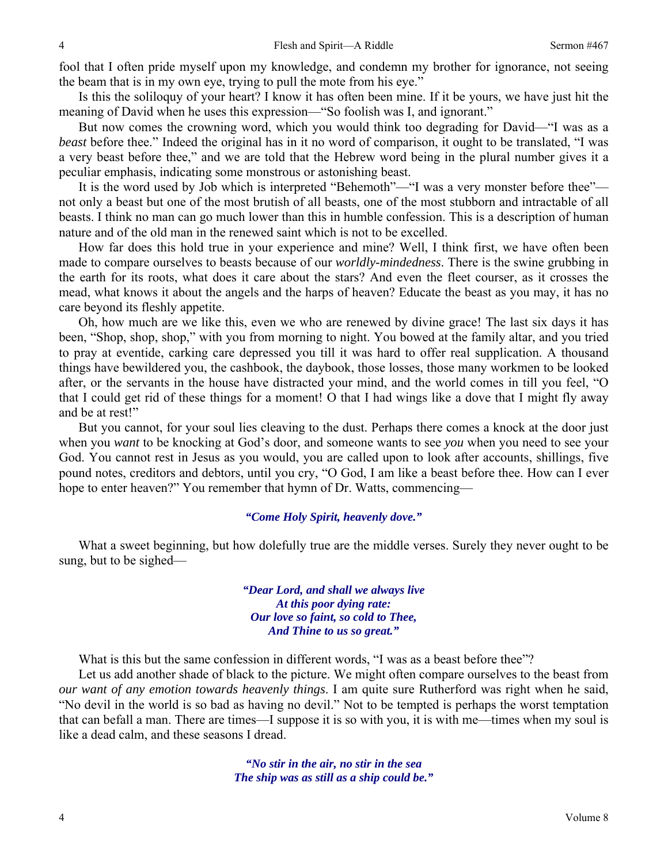fool that I often pride myself upon my knowledge, and condemn my brother for ignorance, not seeing the beam that is in my own eye, trying to pull the mote from his eye."

Is this the soliloquy of your heart? I know it has often been mine. If it be yours, we have just hit the meaning of David when he uses this expression—"So foolish was I, and ignorant."

But now comes the crowning word, which you would think too degrading for David—"I was as a *beast* before thee." Indeed the original has in it no word of comparison, it ought to be translated, "I was a very beast before thee," and we are told that the Hebrew word being in the plural number gives it a peculiar emphasis, indicating some monstrous or astonishing beast.

It is the word used by Job which is interpreted "Behemoth"—"I was a very monster before thee" not only a beast but one of the most brutish of all beasts, one of the most stubborn and intractable of all beasts. I think no man can go much lower than this in humble confession. This is a description of human nature and of the old man in the renewed saint which is not to be excelled.

How far does this hold true in your experience and mine? Well, I think first, we have often been made to compare ourselves to beasts because of our *worldly-mindedness*. There is the swine grubbing in the earth for its roots, what does it care about the stars? And even the fleet courser, as it crosses the mead, what knows it about the angels and the harps of heaven? Educate the beast as you may, it has no care beyond its fleshly appetite.

Oh, how much are we like this, even we who are renewed by divine grace! The last six days it has been, "Shop, shop, shop," with you from morning to night. You bowed at the family altar, and you tried to pray at eventide, carking care depressed you till it was hard to offer real supplication. A thousand things have bewildered you, the cashbook, the daybook, those losses, those many workmen to be looked after, or the servants in the house have distracted your mind, and the world comes in till you feel, "O that I could get rid of these things for a moment! O that I had wings like a dove that I might fly away and be at rest!"

But you cannot, for your soul lies cleaving to the dust. Perhaps there comes a knock at the door just when you *want* to be knocking at God's door, and someone wants to see *you* when you need to see your God. You cannot rest in Jesus as you would, you are called upon to look after accounts, shillings, five pound notes, creditors and debtors, until you cry, "O God, I am like a beast before thee. How can I ever hope to enter heaven?" You remember that hymn of Dr. Watts, commencing—

#### *"Come Holy Spirit, heavenly dove."*

What a sweet beginning, but how dolefully true are the middle verses. Surely they never ought to be sung, but to be sighed—

> *"Dear Lord, and shall we always live At this poor dying rate: Our love so faint, so cold to Thee, And Thine to us so great."*

What is this but the same confession in different words, "I was as a beast before thee"?

Let us add another shade of black to the picture. We might often compare ourselves to the beast from *our want of any emotion towards heavenly things*. I am quite sure Rutherford was right when he said, "No devil in the world is so bad as having no devil." Not to be tempted is perhaps the worst temptation that can befall a man. There are times—I suppose it is so with you, it is with me—times when my soul is like a dead calm, and these seasons I dread.

> *"No stir in the air, no stir in the sea The ship was as still as a ship could be."*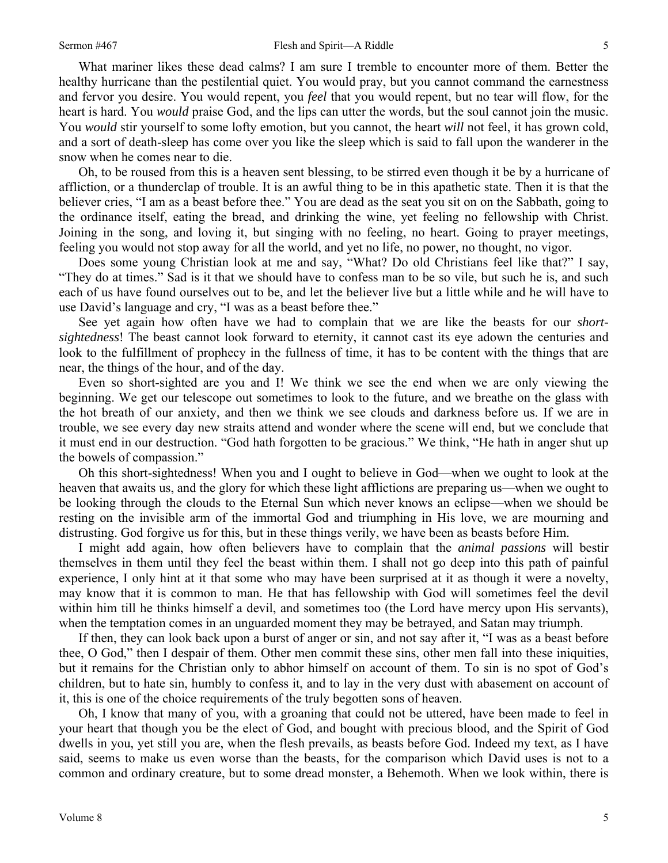What mariner likes these dead calms? I am sure I tremble to encounter more of them. Better the healthy hurricane than the pestilential quiet. You would pray, but you cannot command the earnestness and fervor you desire. You would repent, you *feel* that you would repent, but no tear will flow, for the heart is hard. You *would* praise God, and the lips can utter the words, but the soul cannot join the music. You *would* stir yourself to some lofty emotion, but you cannot, the heart *will* not feel, it has grown cold, and a sort of death-sleep has come over you like the sleep which is said to fall upon the wanderer in the snow when he comes near to die.

Oh, to be roused from this is a heaven sent blessing, to be stirred even though it be by a hurricane of affliction, or a thunderclap of trouble. It is an awful thing to be in this apathetic state. Then it is that the believer cries, "I am as a beast before thee." You are dead as the seat you sit on on the Sabbath, going to the ordinance itself, eating the bread, and drinking the wine, yet feeling no fellowship with Christ. Joining in the song, and loving it, but singing with no feeling, no heart. Going to prayer meetings, feeling you would not stop away for all the world, and yet no life, no power, no thought, no vigor.

Does some young Christian look at me and say, "What? Do old Christians feel like that?" I say, "They do at times." Sad is it that we should have to confess man to be so vile, but such he is, and such each of us have found ourselves out to be, and let the believer live but a little while and he will have to use David's language and cry, "I was as a beast before thee."

See yet again how often have we had to complain that we are like the beasts for our *shortsightedness*! The beast cannot look forward to eternity, it cannot cast its eye adown the centuries and look to the fulfillment of prophecy in the fullness of time, it has to be content with the things that are near, the things of the hour, and of the day.

Even so short-sighted are you and I! We think we see the end when we are only viewing the beginning. We get our telescope out sometimes to look to the future, and we breathe on the glass with the hot breath of our anxiety, and then we think we see clouds and darkness before us. If we are in trouble, we see every day new straits attend and wonder where the scene will end, but we conclude that it must end in our destruction. "God hath forgotten to be gracious." We think, "He hath in anger shut up the bowels of compassion."

Oh this short-sightedness! When you and I ought to believe in God—when we ought to look at the heaven that awaits us, and the glory for which these light afflictions are preparing us—when we ought to be looking through the clouds to the Eternal Sun which never knows an eclipse—when we should be resting on the invisible arm of the immortal God and triumphing in His love, we are mourning and distrusting. God forgive us for this, but in these things verily, we have been as beasts before Him.

I might add again, how often believers have to complain that the *animal passions* will bestir themselves in them until they feel the beast within them. I shall not go deep into this path of painful experience, I only hint at it that some who may have been surprised at it as though it were a novelty, may know that it is common to man. He that has fellowship with God will sometimes feel the devil within him till he thinks himself a devil, and sometimes too (the Lord have mercy upon His servants), when the temptation comes in an unguarded moment they may be betrayed, and Satan may triumph.

If then, they can look back upon a burst of anger or sin, and not say after it, "I was as a beast before thee, O God," then I despair of them. Other men commit these sins, other men fall into these iniquities, but it remains for the Christian only to abhor himself on account of them. To sin is no spot of God's children, but to hate sin, humbly to confess it, and to lay in the very dust with abasement on account of it, this is one of the choice requirements of the truly begotten sons of heaven.

Oh, I know that many of you, with a groaning that could not be uttered, have been made to feel in your heart that though you be the elect of God, and bought with precious blood, and the Spirit of God dwells in you, yet still you are, when the flesh prevails, as beasts before God. Indeed my text, as I have said, seems to make us even worse than the beasts, for the comparison which David uses is not to a common and ordinary creature, but to some dread monster, a Behemoth. When we look within, there is

5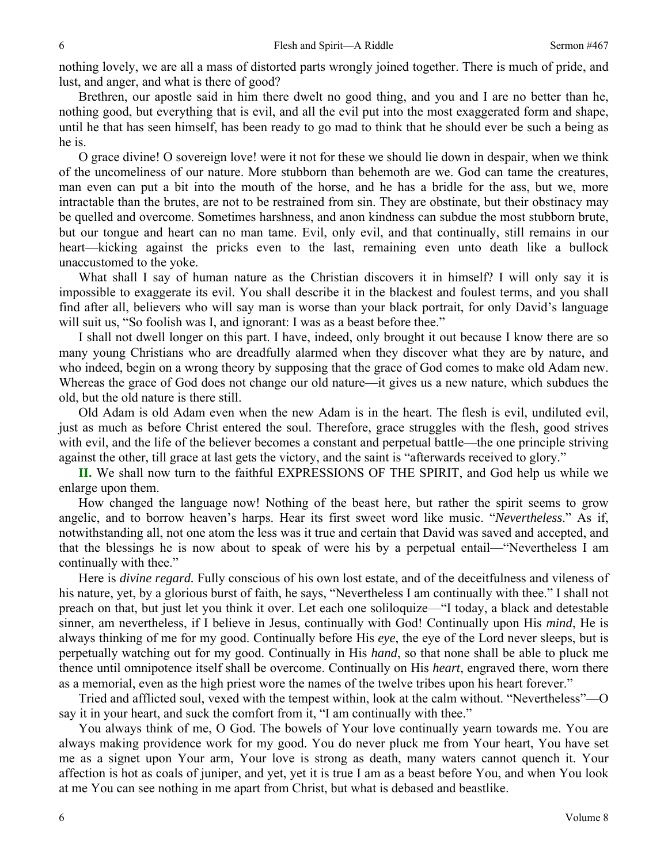nothing lovely, we are all a mass of distorted parts wrongly joined together. There is much of pride, and lust, and anger, and what is there of good?

Brethren, our apostle said in him there dwelt no good thing, and you and I are no better than he, nothing good, but everything that is evil, and all the evil put into the most exaggerated form and shape, until he that has seen himself, has been ready to go mad to think that he should ever be such a being as he is.

O grace divine! O sovereign love! were it not for these we should lie down in despair, when we think of the uncomeliness of our nature. More stubborn than behemoth are we. God can tame the creatures, man even can put a bit into the mouth of the horse, and he has a bridle for the ass, but we, more intractable than the brutes, are not to be restrained from sin. They are obstinate, but their obstinacy may be quelled and overcome. Sometimes harshness, and anon kindness can subdue the most stubborn brute, but our tongue and heart can no man tame. Evil, only evil, and that continually, still remains in our heart—kicking against the pricks even to the last, remaining even unto death like a bullock unaccustomed to the yoke.

What shall I say of human nature as the Christian discovers it in himself? I will only say it is impossible to exaggerate its evil. You shall describe it in the blackest and foulest terms, and you shall find after all, believers who will say man is worse than your black portrait, for only David's language will suit us, "So foolish was I, and ignorant: I was as a beast before thee."

I shall not dwell longer on this part. I have, indeed, only brought it out because I know there are so many young Christians who are dreadfully alarmed when they discover what they are by nature, and who indeed, begin on a wrong theory by supposing that the grace of God comes to make old Adam new. Whereas the grace of God does not change our old nature—it gives us a new nature, which subdues the old, but the old nature is there still.

Old Adam is old Adam even when the new Adam is in the heart. The flesh is evil, undiluted evil, just as much as before Christ entered the soul. Therefore, grace struggles with the flesh, good strives with evil, and the life of the believer becomes a constant and perpetual battle—the one principle striving against the other, till grace at last gets the victory, and the saint is "afterwards received to glory."

**II.** We shall now turn to the faithful EXPRESSIONS OF THE SPIRIT, and God help us while we enlarge upon them.

How changed the language now! Nothing of the beast here, but rather the spirit seems to grow angelic, and to borrow heaven's harps. Hear its first sweet word like music. "*Nevertheless*." As if, notwithstanding all, not one atom the less was it true and certain that David was saved and accepted, and that the blessings he is now about to speak of were his by a perpetual entail—"Nevertheless I am continually with thee."

Here is *divine regard.* Fully conscious of his own lost estate, and of the deceitfulness and vileness of his nature, yet, by a glorious burst of faith, he says, "Nevertheless I am continually with thee." I shall not preach on that, but just let you think it over. Let each one soliloquize—"I today, a black and detestable sinner, am nevertheless, if I believe in Jesus, continually with God! Continually upon His *mind*, He is always thinking of me for my good. Continually before His *eye*, the eye of the Lord never sleeps, but is perpetually watching out for my good. Continually in His *hand*, so that none shall be able to pluck me thence until omnipotence itself shall be overcome. Continually on His *heart*, engraved there, worn there as a memorial, even as the high priest wore the names of the twelve tribes upon his heart forever."

Tried and afflicted soul, vexed with the tempest within, look at the calm without. "Nevertheless"—O say it in your heart, and suck the comfort from it, "I am continually with thee."

You always think of me, O God. The bowels of Your love continually yearn towards me. You are always making providence work for my good. You do never pluck me from Your heart, You have set me as a signet upon Your arm, Your love is strong as death, many waters cannot quench it. Your affection is hot as coals of juniper, and yet, yet it is true I am as a beast before You, and when You look at me You can see nothing in me apart from Christ, but what is debased and beastlike.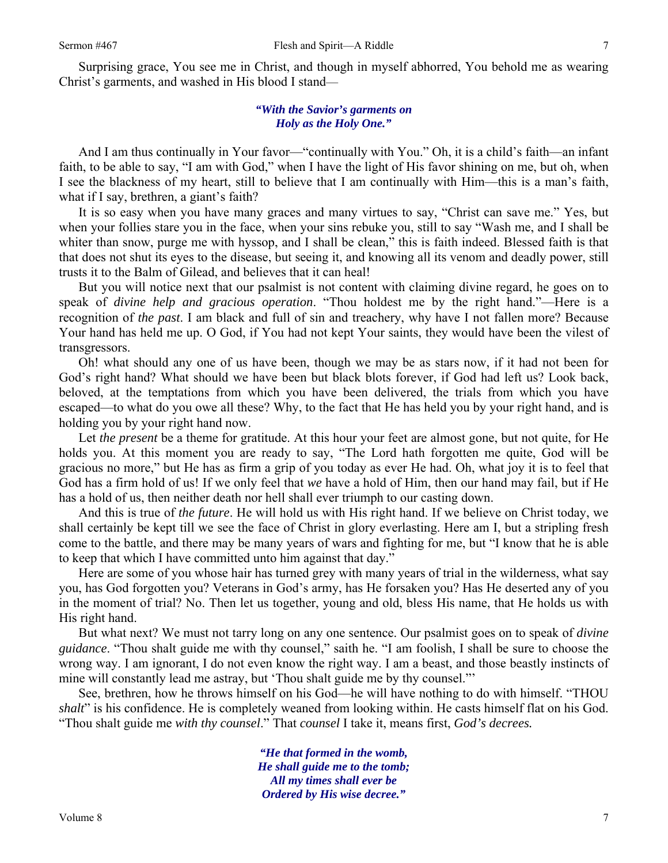Surprising grace, You see me in Christ, and though in myself abhorred, You behold me as wearing Christ's garments, and washed in His blood I stand—

## *"With the Savior's garments on Holy as the Holy One."*

And I am thus continually in Your favor—"continually with You." Oh, it is a child's faith—an infant faith, to be able to say, "I am with God," when I have the light of His favor shining on me, but oh, when I see the blackness of my heart, still to believe that I am continually with Him—this is a man's faith, what if I say, brethren, a giant's faith?

It is so easy when you have many graces and many virtues to say, "Christ can save me." Yes, but when your follies stare you in the face, when your sins rebuke you, still to say "Wash me, and I shall be whiter than snow, purge me with hyssop, and I shall be clean," this is faith indeed. Blessed faith is that that does not shut its eyes to the disease, but seeing it, and knowing all its venom and deadly power, still trusts it to the Balm of Gilead, and believes that it can heal!

But you will notice next that our psalmist is not content with claiming divine regard, he goes on to speak of *divine help and gracious operation*. "Thou holdest me by the right hand."—Here is a recognition of *the past*. I am black and full of sin and treachery, why have I not fallen more? Because Your hand has held me up. O God, if You had not kept Your saints, they would have been the vilest of transgressors.

Oh! what should any one of us have been, though we may be as stars now, if it had not been for God's right hand? What should we have been but black blots forever, if God had left us? Look back, beloved, at the temptations from which you have been delivered, the trials from which you have escaped—to what do you owe all these? Why, to the fact that He has held you by your right hand, and is holding you by your right hand now.

Let *the present* be a theme for gratitude. At this hour your feet are almost gone, but not quite, for He holds you. At this moment you are ready to say, "The Lord hath forgotten me quite, God will be gracious no more," but He has as firm a grip of you today as ever He had. Oh, what joy it is to feel that God has a firm hold of us! If we only feel that *we* have a hold of Him, then our hand may fail, but if He has a hold of us, then neither death nor hell shall ever triumph to our casting down.

And this is true of *the future*. He will hold us with His right hand. If we believe on Christ today, we shall certainly be kept till we see the face of Christ in glory everlasting. Here am I, but a stripling fresh come to the battle, and there may be many years of wars and fighting for me, but "I know that he is able to keep that which I have committed unto him against that day."

Here are some of you whose hair has turned grey with many years of trial in the wilderness, what say you, has God forgotten you? Veterans in God's army, has He forsaken you? Has He deserted any of you in the moment of trial? No. Then let us together, young and old, bless His name, that He holds us with His right hand.

But what next? We must not tarry long on any one sentence. Our psalmist goes on to speak of *divine guidance*. "Thou shalt guide me with thy counsel," saith he. "I am foolish, I shall be sure to choose the wrong way. I am ignorant, I do not even know the right way. I am a beast, and those beastly instincts of mine will constantly lead me astray, but 'Thou shalt guide me by thy counsel."'

See, brethren, how he throws himself on his God—he will have nothing to do with himself. "THOU *shalt*" is his confidence. He is completely weaned from looking within. He casts himself flat on his God. "Thou shalt guide me *with thy counsel*." That *counsel* I take it, means first, *God's decrees.* 

> *"He that formed in the womb, He shall guide me to the tomb; All my times shall ever be Ordered by His wise decree."*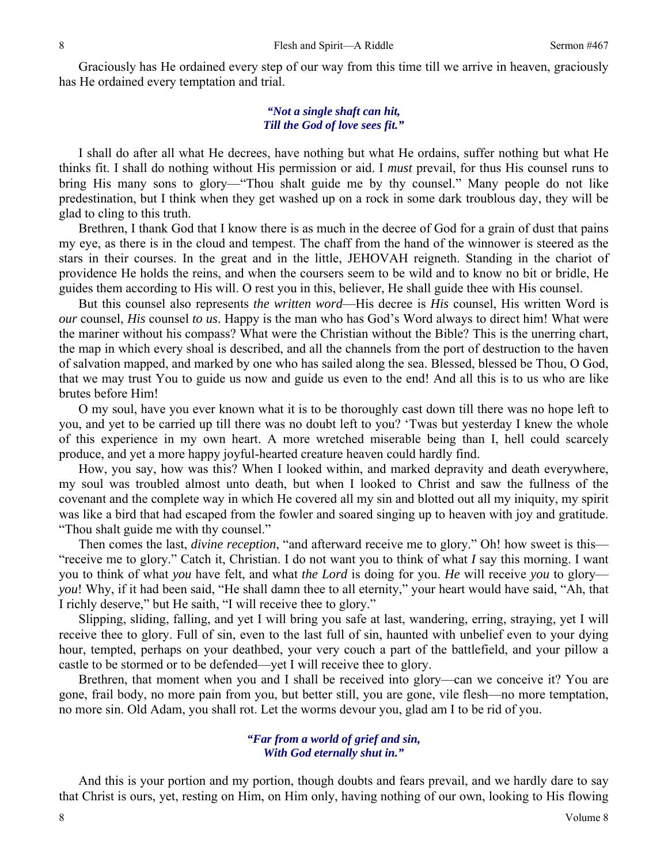Graciously has He ordained every step of our way from this time till we arrive in heaven, graciously has He ordained every temptation and trial.

#### *"Not a single shaft can hit, Till the God of love sees fit."*

I shall do after all what He decrees, have nothing but what He ordains, suffer nothing but what He thinks fit. I shall do nothing without His permission or aid. I *must* prevail, for thus His counsel runs to bring His many sons to glory—"Thou shalt guide me by thy counsel." Many people do not like predestination, but I think when they get washed up on a rock in some dark troublous day, they will be glad to cling to this truth.

Brethren, I thank God that I know there is as much in the decree of God for a grain of dust that pains my eye, as there is in the cloud and tempest. The chaff from the hand of the winnower is steered as the stars in their courses. In the great and in the little, JEHOVAH reigneth. Standing in the chariot of providence He holds the reins, and when the coursers seem to be wild and to know no bit or bridle, He guides them according to His will. O rest you in this, believer, He shall guide thee with His counsel.

But this counsel also represents *the written word*—His decree is *His* counsel, His written Word is *our* counsel, *His* counsel *to us*. Happy is the man who has God's Word always to direct him! What were the mariner without his compass? What were the Christian without the Bible? This is the unerring chart, the map in which every shoal is described, and all the channels from the port of destruction to the haven of salvation mapped, and marked by one who has sailed along the sea. Blessed, blessed be Thou, O God, that we may trust You to guide us now and guide us even to the end! And all this is to us who are like brutes before Him!

O my soul, have you ever known what it is to be thoroughly cast down till there was no hope left to you, and yet to be carried up till there was no doubt left to you? 'Twas but yesterday I knew the whole of this experience in my own heart. A more wretched miserable being than I, hell could scarcely produce, and yet a more happy joyful-hearted creature heaven could hardly find.

How, you say, how was this? When I looked within, and marked depravity and death everywhere, my soul was troubled almost unto death, but when I looked to Christ and saw the fullness of the covenant and the complete way in which He covered all my sin and blotted out all my iniquity, my spirit was like a bird that had escaped from the fowler and soared singing up to heaven with joy and gratitude. "Thou shalt guide me with thy counsel."

Then comes the last, *divine reception*, "and afterward receive me to glory." Oh! how sweet is this— "receive me to glory." Catch it, Christian. I do not want you to think of what *I* say this morning. I want you to think of what *you* have felt, and what *the Lord* is doing for you. *He* will receive *you* to glory *you*! Why, if it had been said, "He shall damn thee to all eternity," your heart would have said, "Ah, that I richly deserve," but He saith, "I will receive thee to glory."

Slipping, sliding, falling, and yet I will bring you safe at last, wandering, erring, straying, yet I will receive thee to glory. Full of sin, even to the last full of sin, haunted with unbelief even to your dying hour, tempted, perhaps on your deathbed, your very couch a part of the battlefield, and your pillow a castle to be stormed or to be defended—yet I will receive thee to glory.

Brethren, that moment when you and I shall be received into glory—can we conceive it? You are gone, frail body, no more pain from you, but better still, you are gone, vile flesh—no more temptation, no more sin. Old Adam, you shall rot. Let the worms devour you, glad am I to be rid of you.

### *"Far from a world of grief and sin, With God eternally shut in."*

And this is your portion and my portion, though doubts and fears prevail, and we hardly dare to say that Christ is ours, yet, resting on Him, on Him only, having nothing of our own, looking to His flowing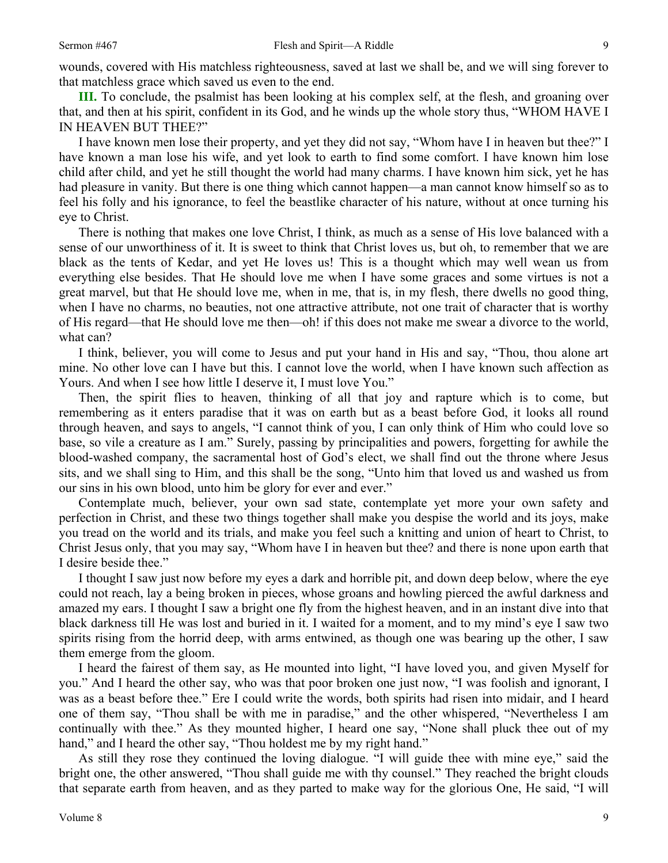**III.** To conclude, the psalmist has been looking at his complex self, at the flesh, and groaning over that, and then at his spirit, confident in its God, and he winds up the whole story thus, "WHOM HAVE I IN HEAVEN BUT THEE?"

I have known men lose their property, and yet they did not say, "Whom have I in heaven but thee?" I have known a man lose his wife, and yet look to earth to find some comfort. I have known him lose child after child, and yet he still thought the world had many charms. I have known him sick, yet he has had pleasure in vanity. But there is one thing which cannot happen—a man cannot know himself so as to feel his folly and his ignorance, to feel the beastlike character of his nature, without at once turning his eye to Christ.

There is nothing that makes one love Christ, I think, as much as a sense of His love balanced with a sense of our unworthiness of it. It is sweet to think that Christ loves us, but oh, to remember that we are black as the tents of Kedar, and yet He loves us! This is a thought which may well wean us from everything else besides. That He should love me when I have some graces and some virtues is not a great marvel, but that He should love me, when in me, that is, in my flesh, there dwells no good thing, when I have no charms, no beauties, not one attractive attribute, not one trait of character that is worthy of His regard—that He should love me then—oh! if this does not make me swear a divorce to the world, what can?

I think, believer, you will come to Jesus and put your hand in His and say, "Thou, thou alone art mine. No other love can I have but this. I cannot love the world, when I have known such affection as Yours. And when I see how little I deserve it, I must love You."

Then, the spirit flies to heaven, thinking of all that joy and rapture which is to come, but remembering as it enters paradise that it was on earth but as a beast before God, it looks all round through heaven, and says to angels, "I cannot think of you, I can only think of Him who could love so base, so vile a creature as I am." Surely, passing by principalities and powers, forgetting for awhile the blood-washed company, the sacramental host of God's elect, we shall find out the throne where Jesus sits, and we shall sing to Him, and this shall be the song, "Unto him that loved us and washed us from our sins in his own blood, unto him be glory for ever and ever."

Contemplate much, believer, your own sad state, contemplate yet more your own safety and perfection in Christ, and these two things together shall make you despise the world and its joys, make you tread on the world and its trials, and make you feel such a knitting and union of heart to Christ, to Christ Jesus only, that you may say, "Whom have I in heaven but thee? and there is none upon earth that I desire beside thee."

I thought I saw just now before my eyes a dark and horrible pit, and down deep below, where the eye could not reach, lay a being broken in pieces, whose groans and howling pierced the awful darkness and amazed my ears. I thought I saw a bright one fly from the highest heaven, and in an instant dive into that black darkness till He was lost and buried in it. I waited for a moment, and to my mind's eye I saw two spirits rising from the horrid deep, with arms entwined, as though one was bearing up the other, I saw them emerge from the gloom.

I heard the fairest of them say, as He mounted into light, "I have loved you, and given Myself for you." And I heard the other say, who was that poor broken one just now, "I was foolish and ignorant, I was as a beast before thee." Ere I could write the words, both spirits had risen into midair, and I heard one of them say, "Thou shall be with me in paradise," and the other whispered, "Nevertheless I am continually with thee." As they mounted higher, I heard one say, "None shall pluck thee out of my hand," and I heard the other say, "Thou holdest me by my right hand."

As still they rose they continued the loving dialogue. "I will guide thee with mine eye," said the bright one, the other answered, "Thou shall guide me with thy counsel." They reached the bright clouds that separate earth from heaven, and as they parted to make way for the glorious One, He said, "I will